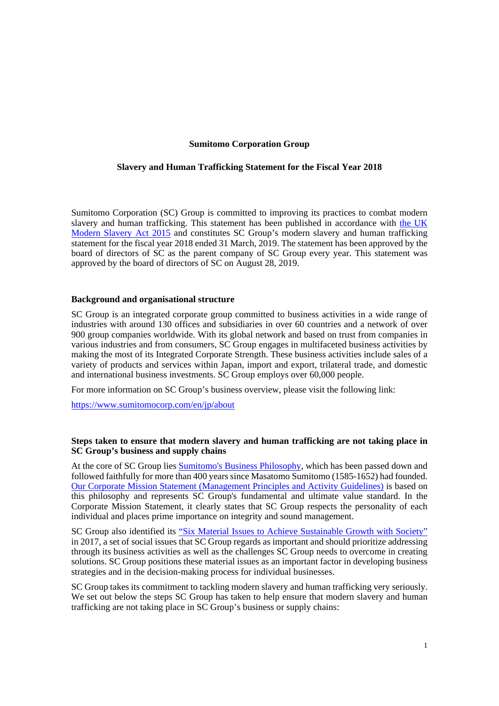## **Sumitomo Corporation Group**

### **Slavery and Human Trafficking Statement for the Fiscal Year 2018**

Sumitomo Corporation (SC) Group is committed to improving its practices to combat modern slavery and human trafficking. This statement has been published in accordance with the UK [Modern Slavery Act 2015 and constitutes SC Group's modern slavery and human trafficking](https://www.legislation.gov.uk/ukpga/2015/30/section/54) statement for the fiscal year 2018 ended 31 March, 2019. The statement has been approved by the board of directors of SC as the parent company of SC Group every year. This statement was approved by the board of directors of SC on August 28, 2019.

### **Background and organisational structure**

SC Group is an integrated corporate group committed to business activities in a wide range of industries with around 130 offices and subsidiaries in over 60 countries and a network of over 900 group companies worldwide. With its global network and based on trust from companies in various industries and from consumers, SC Group engages in multifaceted business activities by making the most of its Integrated Corporate Strength. These business activities include sales of a variety of products and services within Japan, import and export, trilateral trade, and domestic and international business investments. SC Group employs over 60,000 people.

For more information on SC Group's business overview, please visit the following link:

https://www.sumitomocorp.com/en/jp/about

## **Steps taken to ensure that modern slavery and human trafficking are not taking place in SC Group's business and supply chains**

At the core of SC Group lies [Sumitomo's Business Philosophy](https://www.sumitomocorp.com/en/jp/about/policy/principles#03), which has been passed down and followed faithfully for more than 400 years since Masatomo Sumitomo (1585-1652) had founded. [Our Corporate Mission Statement \(Management Principles and Activity Guidelines](https://www.sumitomocorp.com/en/jp/about/policy/principles)) is based on this philosophy and represents SC Group's fundamental and ultimate value standard. In the Corporate Mission Statement, it clearly states that SC Group respects the personality of each individual and places prime importance on integrity and sound management.

SC Group also identified its ["Six Material Issues to Achieve Sustainable Growth with Society"](https://www.sumitomocorp.com/en/jp/sustainability/material-issues) in 2017, a set of social issues that SC Group regards as important and should prioritize addressing through its business activities as well as the challenges SC Group needs to overcome in creating solutions. SC Group positions these material issues as an important factor in developing business strategies and in the decision-making process for individual businesses.

SC Group takes its commitment to tackling modern slavery and human trafficking very seriously. We set out below the steps SC Group has taken to help ensure that modern slavery and human trafficking are not taking place in SC Group's business or supply chains: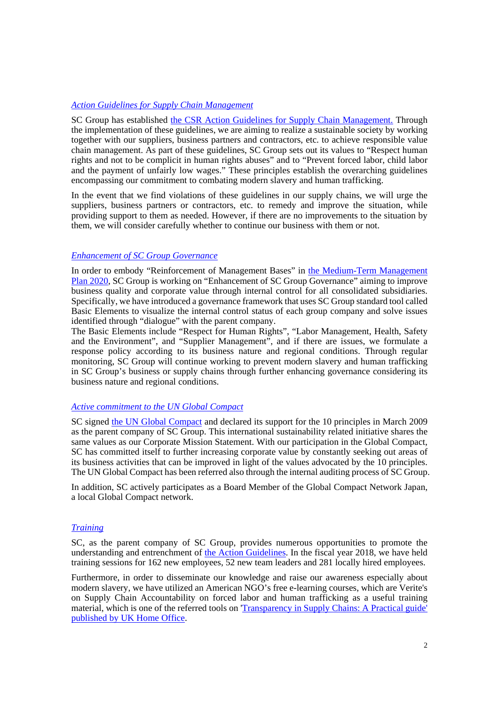## *[Action Guidelines for Supply Chain Management](https://www.sumitomocorp.com/en/jp/sustainability/csr#01)*

SC Group has established [the CSR Action Guidelines for Supply Chain Management](https://www.sumitomocorp.com/en/jp/sustainability/csr#01). Through the implementation of these guidelines, we are aiming to realize a sustainable society by working together with our suppliers, business partners and contractors, etc. to achieve responsible value chain management. As part of these guidelines, SC Group sets out its values to "Respect human rights and not to be complicit in human rights abuses" and to "Prevent forced labor, child labor and the payment of unfairly low wages." These principles establish the overarching guidelines encompassing our commitment to combating modern slavery and human trafficking.

In the event that we find violations of these guidelines in our supply chains, we will urge the suppliers, business partners or contractors, etc. to remedy and improve the situation, while providing support to them as needed. However, if there are no improvements to the situation by them, we will consider carefully whether to continue our business with them or not.

#### *[Enhancement of SC Group Governance](https://www.sumitomocorp.com/en/jp/about/governance/scic)*

[In order to embody "Reinforcement of Management Bases" in the Medium-Term Management](https://www.sumitomocorp.com/en/jp/about/policy/mid-term) Plan 2020, SC Group is working on "Enhancement of SC Group Governance" aiming to improve business quality and corporate value through internal control for all consolidated subsidiaries. Specifically, we have introduced a governance framework that uses SC Group standard tool called Basic Elements to visualize the internal control status of each group company and solve issues identified through "dialogue" with the parent company.

The Basic Elements include "Respect for Human Rights", "Labor Management, Health, Safety and the Environment", and "Supplier Management", and if there are issues, we formulate a response policy according to its business nature and regional conditions. Through regular monitoring, SC Group will continue working to prevent modern slavery and human trafficking in SC Group's business or supply chains through further enhancing governance considering its business nature and regional conditions.

# *[Active commitment to the UN Global Compact](https://www.sumitomocorp.com/en/jp/sustainability/initiative)*

SC signed [the UN Global Compact](https://www.unglobalcompact.org/what-is-gc/mission/principles) and declared its support for the 10 principles in March 2009 as the parent company of SC Group. This international sustainability related initiative shares the same values as our Corporate Mission Statement. With our participation in the Global Compact, SC has committed itself to further increasing corporate value by constantly seeking out areas of its business activities that can be improved in light of the values advocated by the 10 principles. The UN Global Compact has been referred also through the internal auditing process of SC Group.

In addition, SC actively participates as a Board Member of the Global Compact Network Japan, a local Global Compact network.

# *[Training](https://www.sumitomocorp.com/en/jp/sustainability/csr#08)*

SC, as the parent company of SC Group, provides numerous opportunities to promote the understanding and entrenchment of [the Action Guidelines](https://www.sumitomocorp.com/en/jp/sustainability/csr#01). In the fiscal year 2018, we have held training sessions for 162 new employees, 52 new team leaders and 281 locally hired employees.

Furthermore, in order to disseminate our knowledge and raise our awareness especially about modern slavery, we have utilized an American NGO's free e-learning courses, which are Verite's on Supply Chain Accountability on forced labor and human trafficking as a useful training [material, which is one of the referred tools on 'Transparency in Supply Chains: A Practical guide'](https://www.gov.uk/government/publications/transparency-in-supply-chains-a-practical-guide) published by UK Home Office.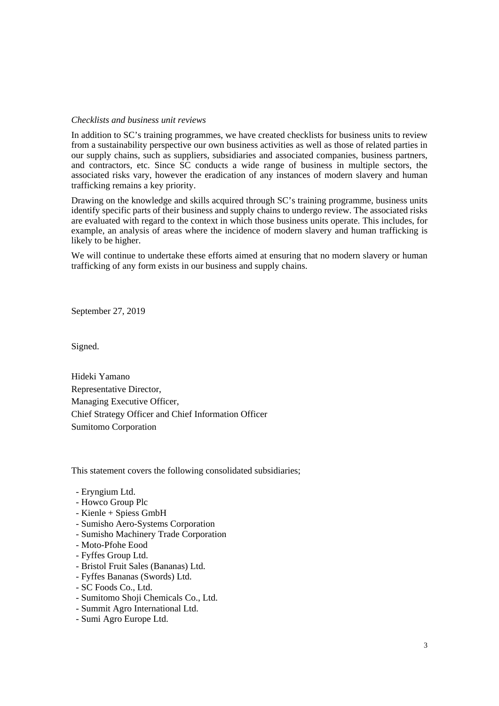#### *Checklists and business unit reviews*

In addition to SC's training programmes, we have created checklists for business units to review from a sustainability perspective our own business activities as well as those of related parties in our supply chains, such as suppliers, subsidiaries and associated companies, business partners, and contractors, etc. Since SC conducts a wide range of business in multiple sectors, the associated risks vary, however the eradication of any instances of modern slavery and human trafficking remains a key priority.

Drawing on the knowledge and skills acquired through SC's training programme, business units identify specific parts of their business and supply chains to undergo review. The associated risks are evaluated with regard to the context in which those business units operate. This includes, for example, an analysis of areas where the incidence of modern slavery and human trafficking is likely to be higher.

We will continue to undertake these efforts aimed at ensuring that no modern slavery or human trafficking of any form exists in our business and supply chains.

September 27, 2019

Signed.

Hideki Yamano Representative Director, Managing Executive Officer, Chief Strategy Officer and Chief Information Officer Sumitomo Corporation

This statement covers the following consolidated subsidiaries;

- Eryngium Ltd.
- Howco Group Plc
- Kienle + Spiess GmbH
- Sumisho Aero-Systems Corporation
- Sumisho Machinery Trade Corporation
- Moto-Pfohe Eood
- Fyffes Group Ltd.
- Bristol Fruit Sales (Bananas) Ltd.
- Fyffes Bananas (Swords) Ltd.
- SC Foods Co., Ltd.
- Sumitomo Shoji Chemicals Co., Ltd.
- Summit Agro International Ltd.
- Sumi Agro Europe Ltd.